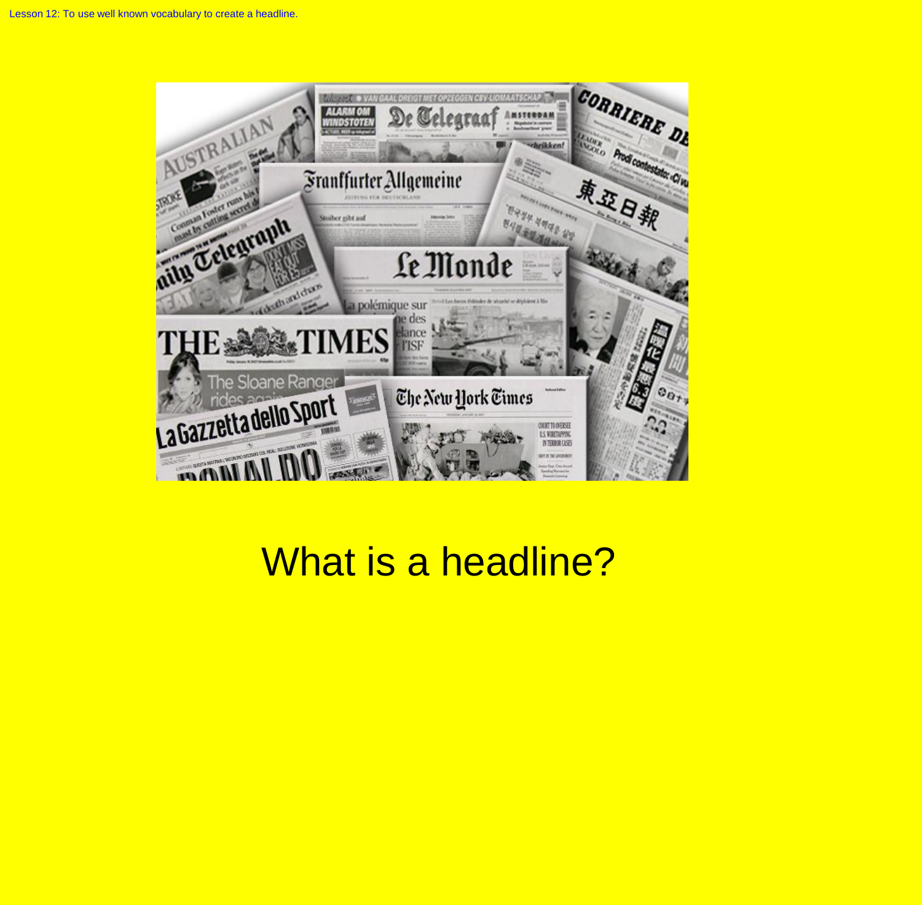

# What is a headline?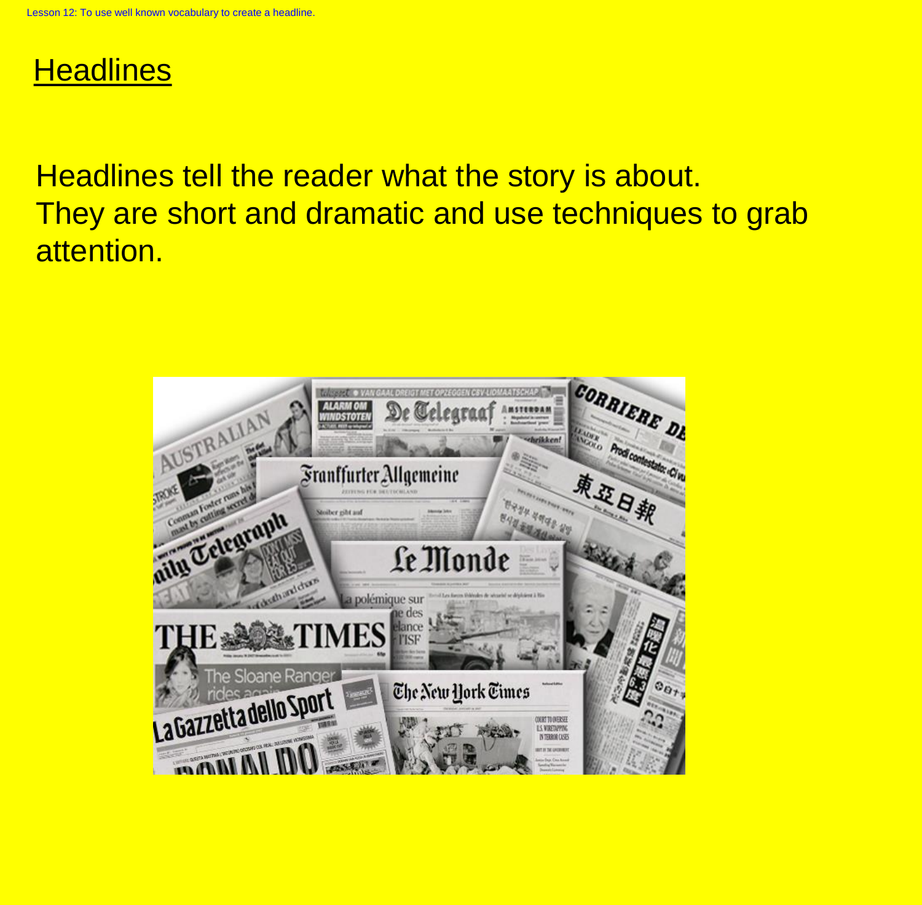## **Headlines**

Headlines tell the reader what the story is about. They are short and dramatic and use techniques to grab attention.

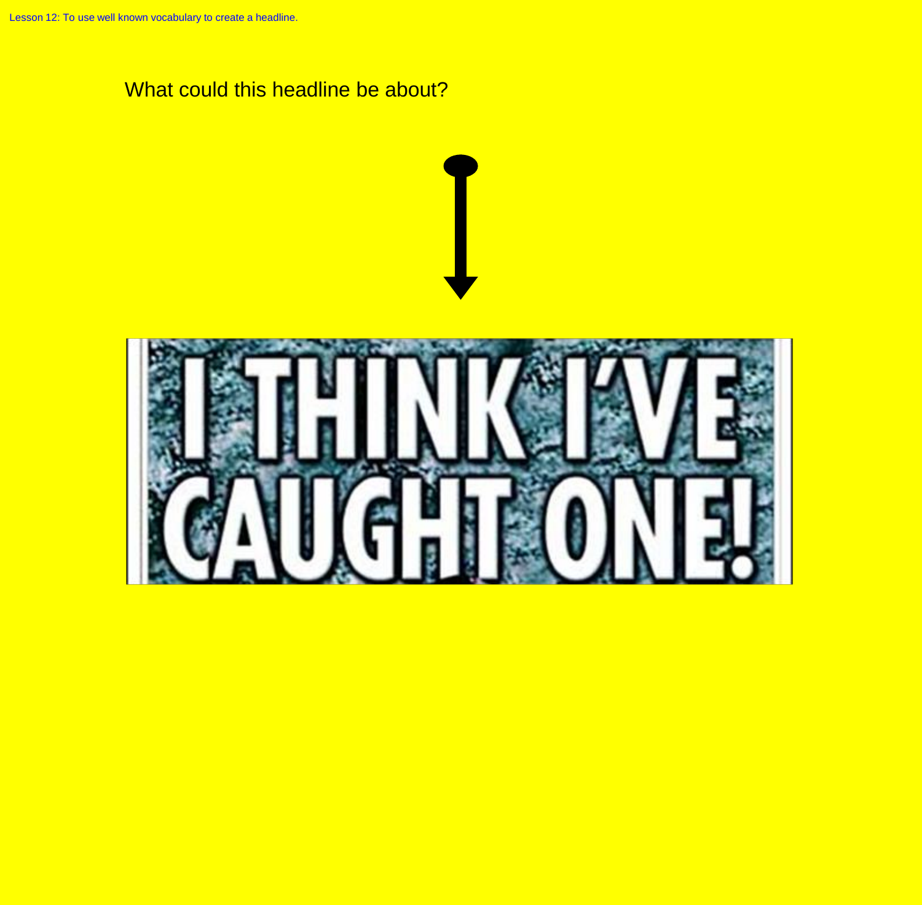#### What could this headline be about?

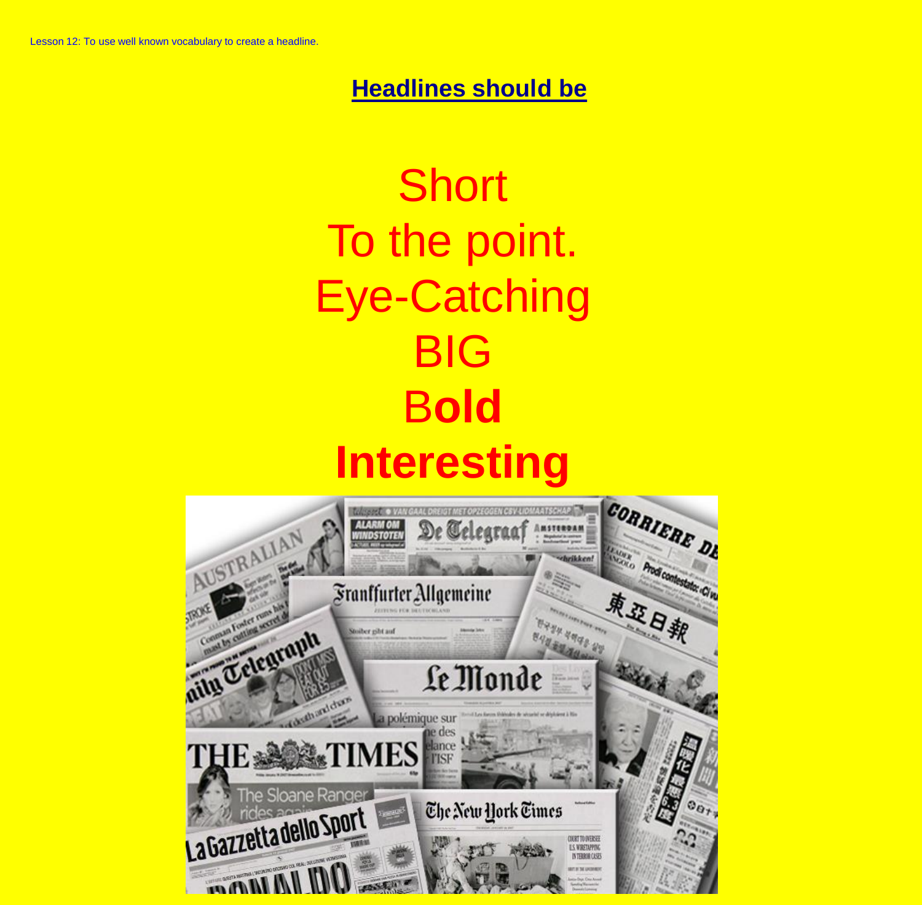#### **Headlines should be**



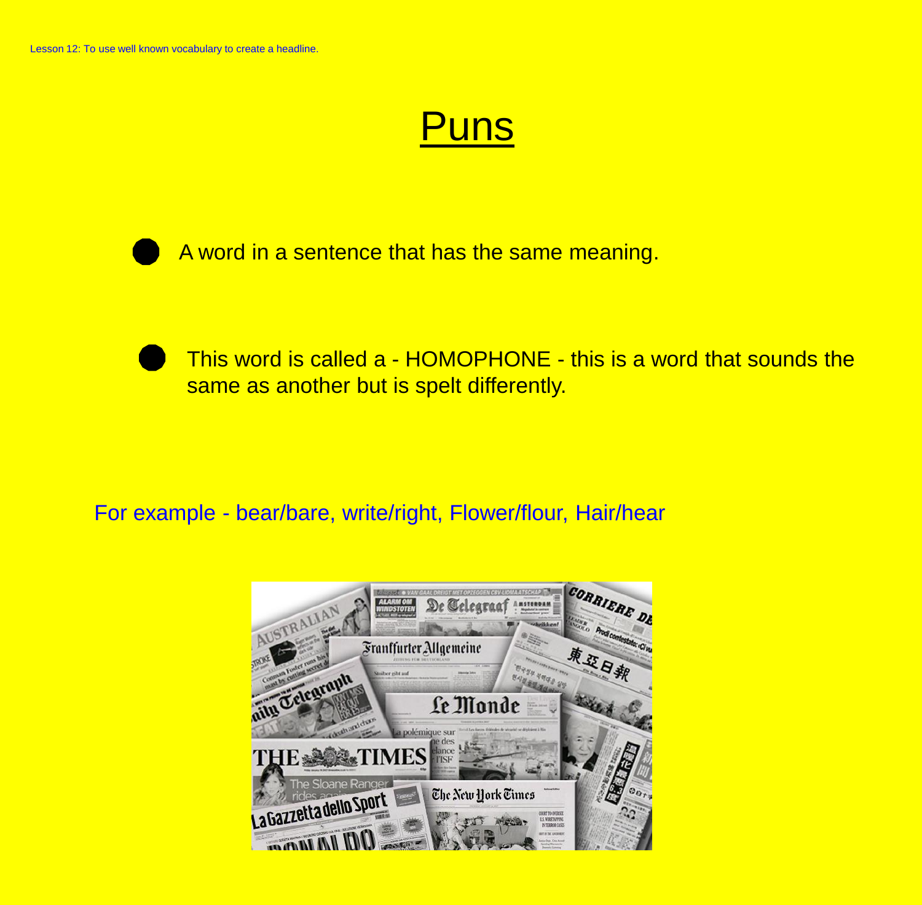## **Puns**

A word in a sentence that has the same meaning.

This word is called a - HOMOPHONE - this is a word that sounds the same as another but is spelt differently.

For example - bear/bare, write/right, Flower/flour, Hair/hear

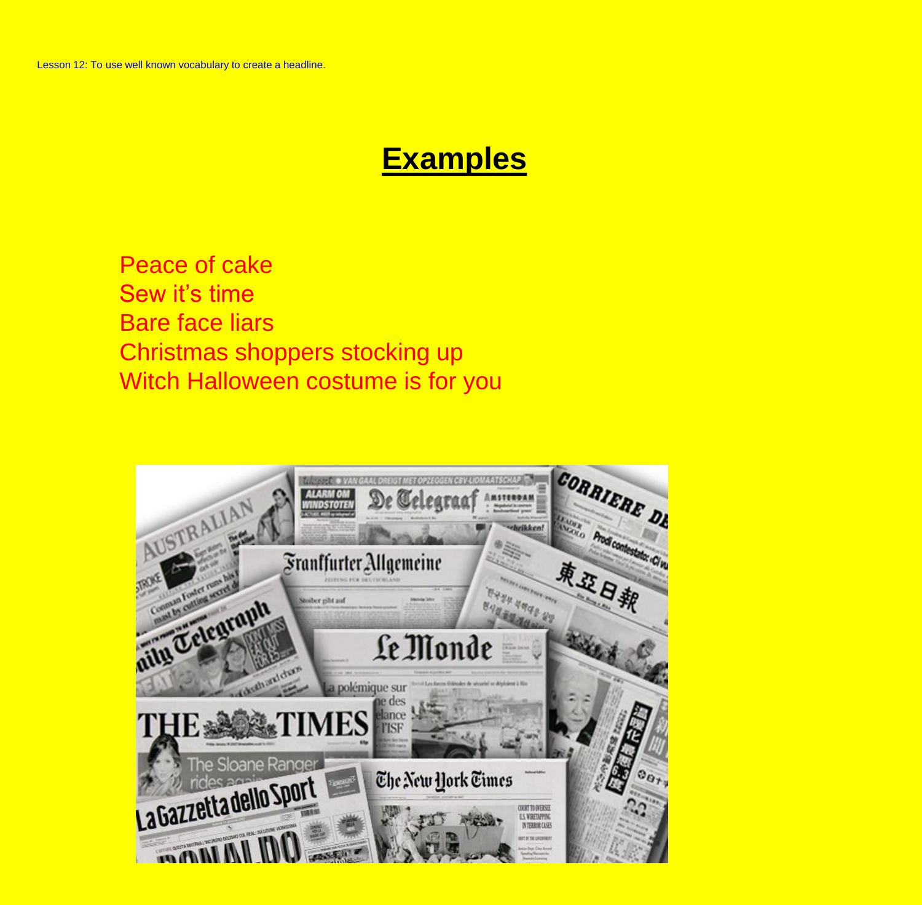### **Examples**

Peace of cake Sew it's time Bare face liars Christmas shoppers stocking up Witch Halloween costume is for you

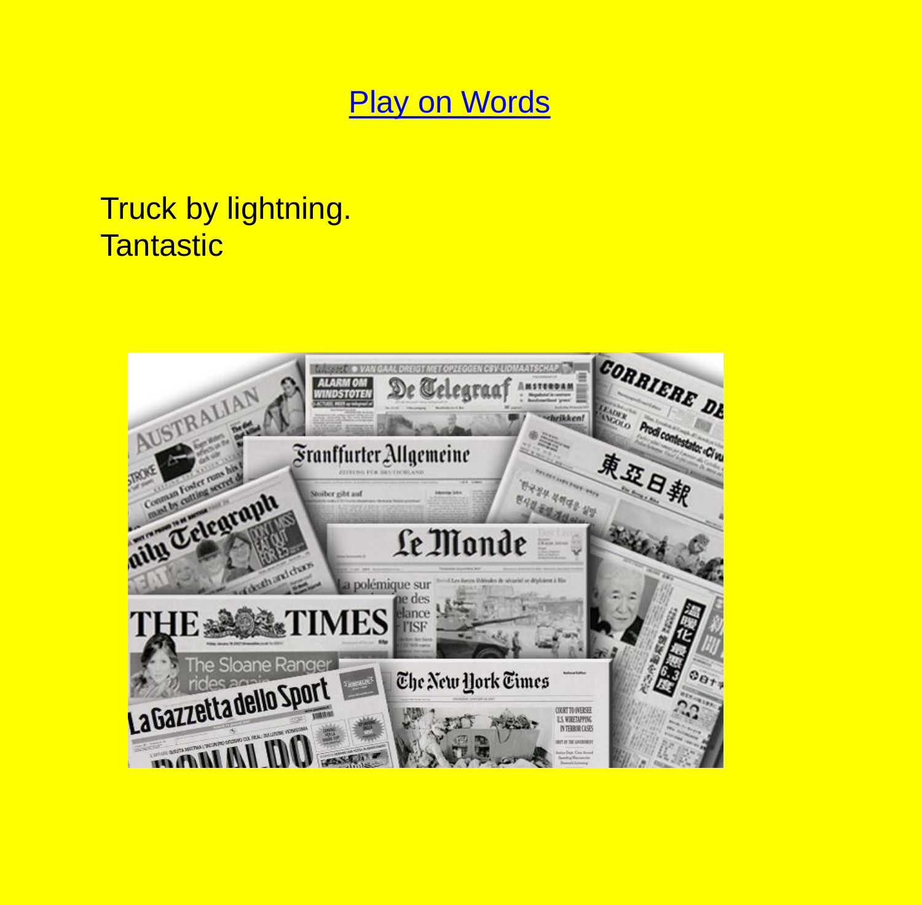### **Play on Words**

## Truck by lightning. **Tantastic**

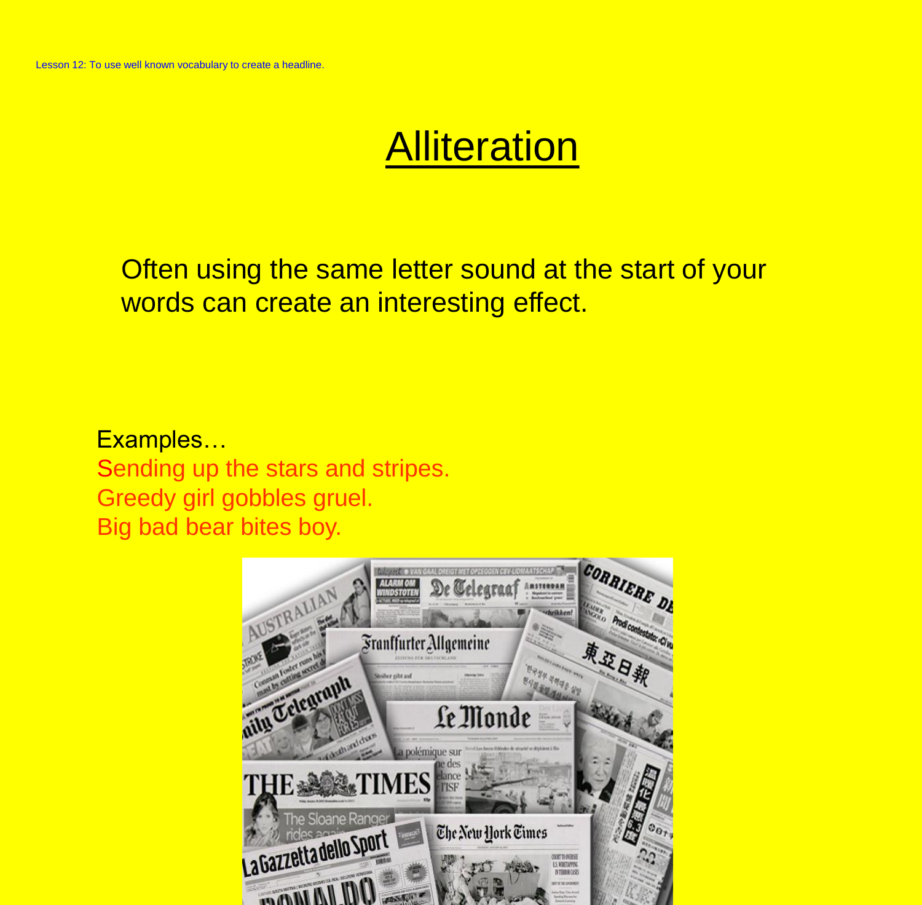# **Alliteration**

Often using the same letter sound at the start of your words can create an interesting effect.

Examples… Sending up the stars and stripes. Greedy girl gobbles gruel. Big bad bear bites boy.

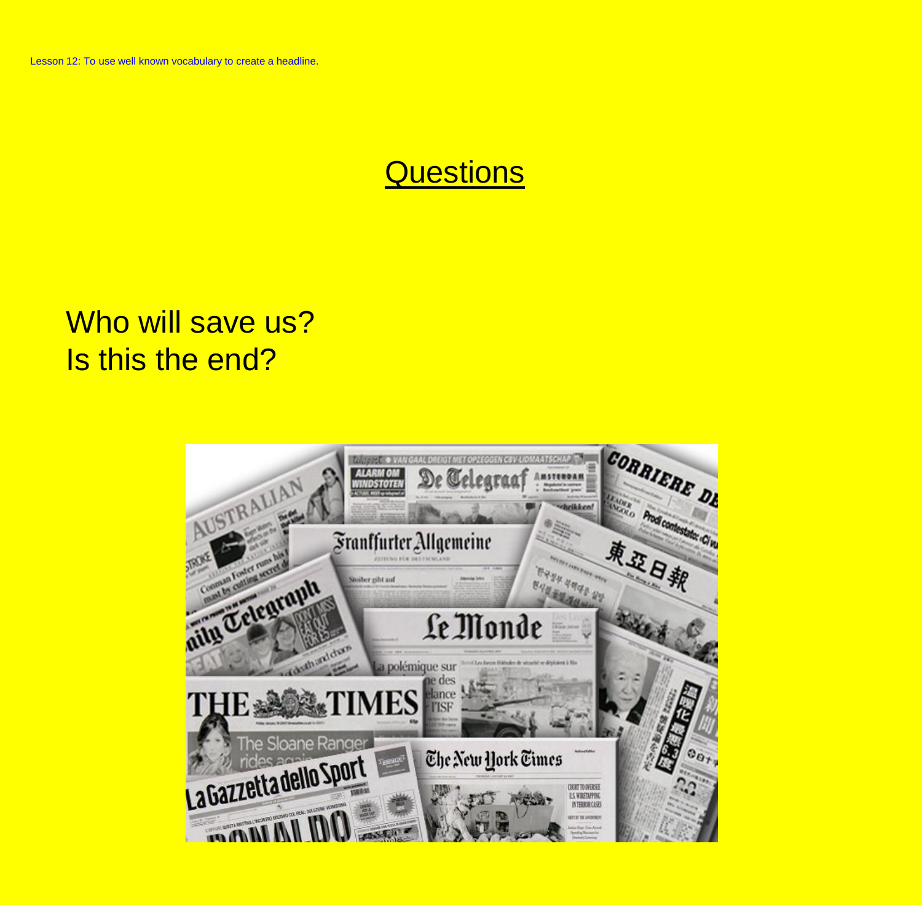### Questions

## Who will save us? Is this the end?